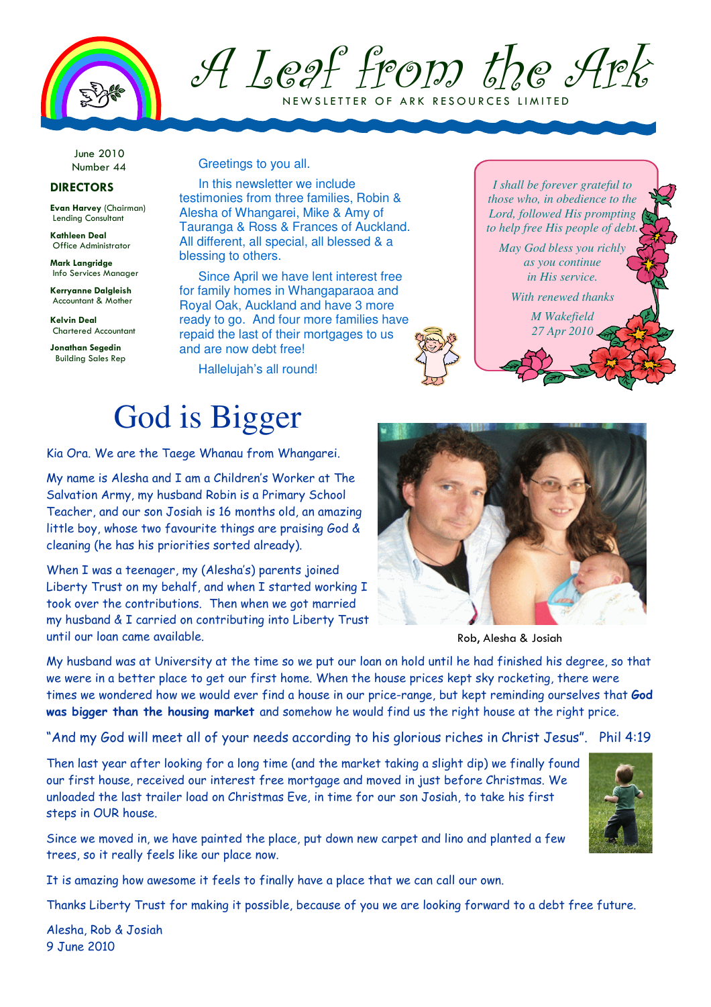

### A Leaf from the Ark N E W SLETTER OF ARK RESOURCES LIMITED

June 2010 Number 44

### DIRECTORS

Evan Harvey (Chairman) Lending Consultant

Kathleen Deal Office Administrator

Mark Langridge Info Services Manager

Kerryanne Dalgleish Accountant & Mother

Kelvin Deal Chartered Accountant

Jonathan Segedin Building Sales Rep Greetings to you all.

In this newsletter we include testimonies from three families, Robin & Alesha of Whangarei, Mike & Amy of Tauranga & Ross & Frances of Auckland. All different, all special, all blessed & a blessing to others.

Since April we have lent interest free for family homes in Whangaparaoa and Royal Oak, Auckland and have 3 more ready to go. And four more families have repaid the last of their mortgages to us and are now debt free!

Hallelujah's all round!

### God is Bigger

Kia Ora. We are the Taege Whanau from Whangarei.

My name is Alesha and I am a Children's Worker at The Salvation Army, my husband Robin is a Primary School Teacher, and our son Josiah is 16 months old, an amazing little boy, whose two favourite things are praising God & cleaning (he has his priorities sorted already).

When I was a teenager, my (Alesha's) parents joined Liberty Trust on my behalf, and when I started working I took over the contributions. Then when we got married my husband & I carried on contributing into Liberty Trust until our loan came available.





Rob, Alesha & Josiah

My husband was at University at the time so we put our loan on hold until he had finished his degree, so that we were in a better place to get our first home. When the house prices kept sky rocketing, there were times we wondered how we would ever find a house in our price-range, but kept reminding ourselves that God was bigger than the housing market and somehow he would find us the right house at the right price.

"And my God will meet all of your needs according to his glorious riches in Christ Jesus". Phil 4:19

Then last year after looking for a long time (and the market taking a slight dip) we finally found our first house, received our interest free mortgage and moved in just before Christmas. We unloaded the last trailer load on Christmas Eve, in time for our son Josiah, to take his first steps in OUR house.

Since we moved in, we have painted the place, put down new carpet and lino and planted a few trees, so it really feels like our place now.

It is amazing how awesome it feels to finally have a place that we can call our own.

Thanks Liberty Trust for making it possible, because of you we are looking forward to a debt free future.

Alesha, Rob & Josiah 9 June 2010